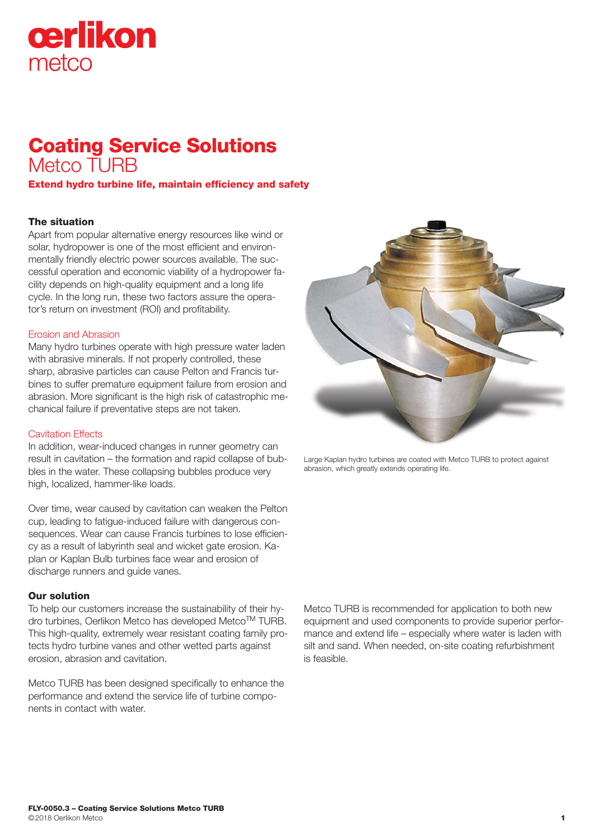# cerlikon metco

## Coating Service Solutions Metco TURB

Extend hydro turbine life, maintain efficiency and safety

### The situation

Apart from popular alternative energy resources like wind or solar, hydropower is one of the most efficient and environmentally friendly electric power sources available. The successful operation and economic viability of a hydropower facility depends on high-quality equipment and a long life cycle. In the long run, these two factors assure the operator's return on investment (ROI) and profitability.

#### Erosion and Abrasion

Many hydro turbines operate with high pressure water laden with abrasive minerals. If not properly controlled, these sharp, abrasive particles can cause Pelton and Francis turbines to suffer premature equipment failure from erosion and abrasion. More significant is the high risk of catastrophic mechanical failure if preventative steps are not taken.

#### Cavitation Effects

In addition, wear-induced changes in runner geometry can result in cavitation – the formation and rapid collapse of bubbles in the water. These collapsing bubbles produce very high, localized, hammer-like loads.

Over time, wear caused by cavitation can weaken the Pelton cup, leading to fatigue-induced failure with dangerous consequences. Wear can cause Francis turbines to lose efficiency as a result of labyrinth seal and wicket gate erosion. Kaplan or Kaplan Bulb turbines face wear and erosion of discharge runners and quide vanes.

#### Our solution

To help our customers increase the sustainability of their hydro turbines, Oerlikon Metco has developed Metco™ TURB. This high-quality, extremely wear resistant coating family protects hydro turbine vanes and other wetted parts against erosion, abrasion and cavitation.

Metco TURB has been designed specifically to enhance the performance and extend the service life of turbine components in contact with water.



Large Kaplan hydro turbines are coated with Metco TURB to protect against abrasion, which greatly extends operating life.

Metco TURB is recommended for application to both new equipment and used components to provide superior performance and extend life – especially where water is laden with silt and sand. When needed, on-site coating refurbishment is feasible.